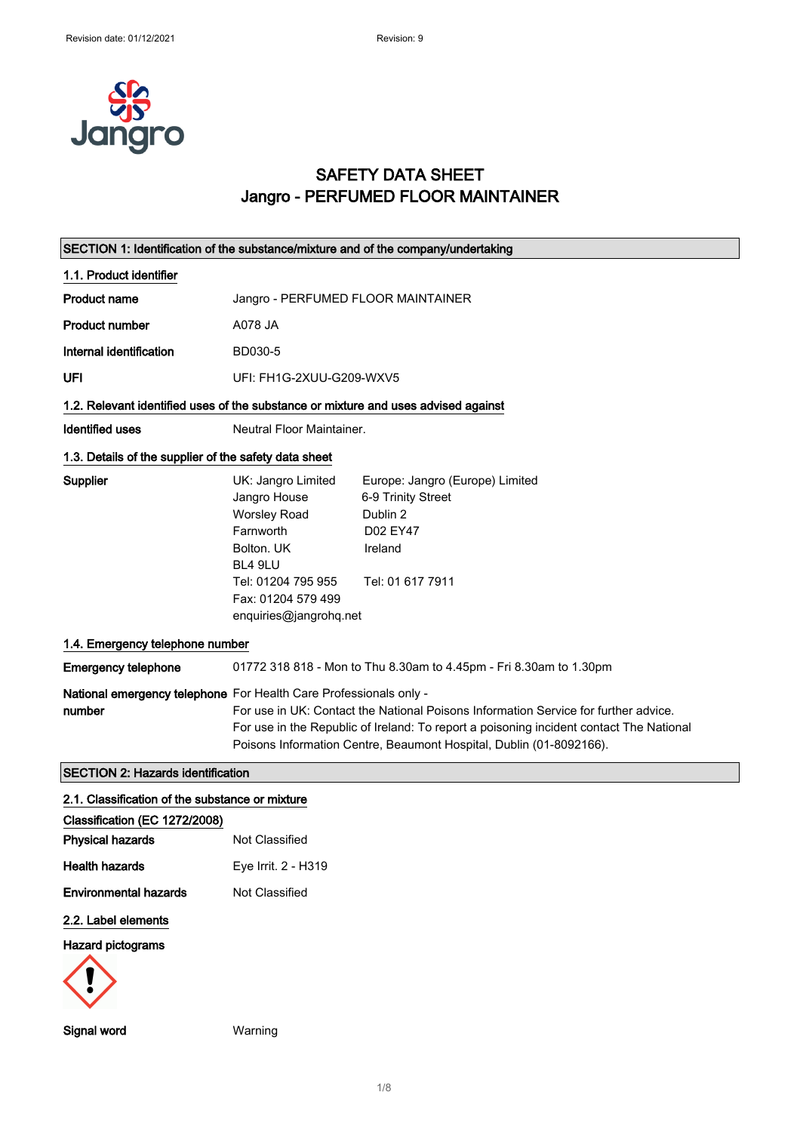

### SAFETY DATA SHEET Jangro - PERFUMED FLOOR MAINTAINER

| SECTION 1: Identification of the substance/mixture and of the company/undertaking  |                                                                                                                                                                       |                                                                                                                                                                                                                                                       |
|------------------------------------------------------------------------------------|-----------------------------------------------------------------------------------------------------------------------------------------------------------------------|-------------------------------------------------------------------------------------------------------------------------------------------------------------------------------------------------------------------------------------------------------|
| 1.1. Product identifier                                                            |                                                                                                                                                                       |                                                                                                                                                                                                                                                       |
| <b>Product name</b>                                                                | Jangro - PERFUMED FLOOR MAINTAINER                                                                                                                                    |                                                                                                                                                                                                                                                       |
| <b>Product number</b>                                                              | A078 JA                                                                                                                                                               |                                                                                                                                                                                                                                                       |
| Internal identification                                                            | BD030-5                                                                                                                                                               |                                                                                                                                                                                                                                                       |
| UFI                                                                                | UFI: FH1G-2XUU-G209-WXV5                                                                                                                                              |                                                                                                                                                                                                                                                       |
| 1.2. Relevant identified uses of the substance or mixture and uses advised against |                                                                                                                                                                       |                                                                                                                                                                                                                                                       |
| <b>Identified uses</b>                                                             | Neutral Floor Maintainer.                                                                                                                                             |                                                                                                                                                                                                                                                       |
| 1.3. Details of the supplier of the safety data sheet                              |                                                                                                                                                                       |                                                                                                                                                                                                                                                       |
| Supplier                                                                           | UK: Jangro Limited<br>Jangro House<br><b>Worsley Road</b><br>Farnworth<br>Bolton. UK<br>BL4 9LU<br>Tel: 01204 795 955<br>Fax: 01204 579 499<br>enquiries@jangrohq.net | Europe: Jangro (Europe) Limited<br>6-9 Trinity Street<br>Dublin 2<br>D02 EY47<br>Ireland<br>Tel: 01 617 7911                                                                                                                                          |
| 1.4. Emergency telephone number                                                    |                                                                                                                                                                       |                                                                                                                                                                                                                                                       |
| <b>Emergency telephone</b>                                                         |                                                                                                                                                                       | 01772 318 818 - Mon to Thu 8.30am to 4.45pm - Fri 8.30am to 1.30pm                                                                                                                                                                                    |
| National emergency telephone For Health Care Professionals only -<br>number        |                                                                                                                                                                       | For use in UK: Contact the National Poisons Information Service for further advice.<br>For use in the Republic of Ireland: To report a poisoning incident contact The National<br>Poisons Information Centre, Beaumont Hospital, Dublin (01-8092166). |
| <b>SECTION 2: Hazards identification</b>                                           |                                                                                                                                                                       |                                                                                                                                                                                                                                                       |
| 2.1. Classification of the substance or mixture                                    |                                                                                                                                                                       |                                                                                                                                                                                                                                                       |
| Classification (EC 1272/2008)<br><b>Physical hazards</b>                           | Not Classified                                                                                                                                                        |                                                                                                                                                                                                                                                       |
| <b>Health hazards</b>                                                              | Eye Irrit. 2 - H319                                                                                                                                                   |                                                                                                                                                                                                                                                       |
| <b>Environmental hazards</b>                                                       | Not Classified                                                                                                                                                        |                                                                                                                                                                                                                                                       |
| 2.2. Label elements                                                                |                                                                                                                                                                       |                                                                                                                                                                                                                                                       |
| <b>Hazard pictograms</b>                                                           |                                                                                                                                                                       |                                                                                                                                                                                                                                                       |
|                                                                                    |                                                                                                                                                                       |                                                                                                                                                                                                                                                       |

Signal word Warning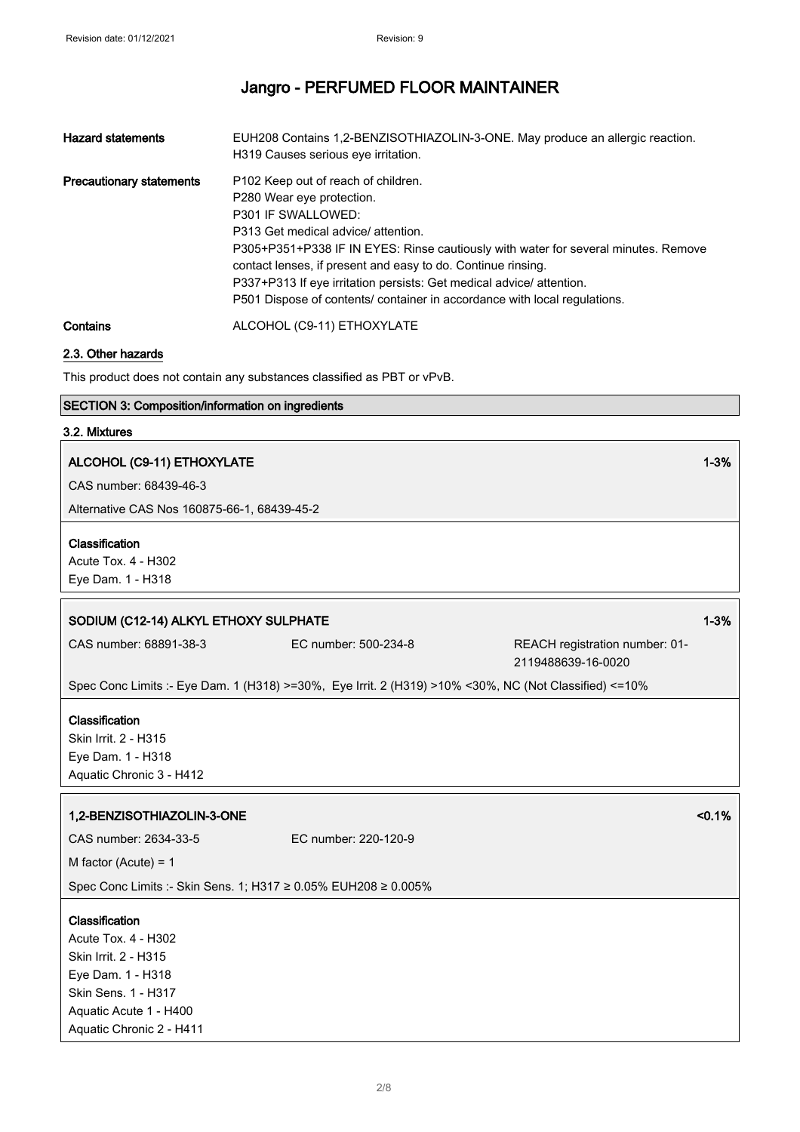| <b>Hazard statements</b>                                                | EUH208 Contains 1,2-BENZISOTHIAZOLIN-3-ONE. May produce an allergic reaction.      |  |
|-------------------------------------------------------------------------|------------------------------------------------------------------------------------|--|
|                                                                         | H319 Causes serious eye irritation.                                                |  |
| <b>Precautionary statements</b>                                         | P102 Keep out of reach of children.                                                |  |
|                                                                         | P280 Wear eye protection.                                                          |  |
|                                                                         | P301 IF SWALLOWED:                                                                 |  |
|                                                                         | P313 Get medical advice/attention.                                                 |  |
|                                                                         | P305+P351+P338 IF IN EYES: Rinse cautiously with water for several minutes. Remove |  |
|                                                                         | contact lenses, if present and easy to do. Continue rinsing.                       |  |
|                                                                         | P337+P313 If eye irritation persists: Get medical advice/attention.                |  |
|                                                                         | P501 Dispose of contents/ container in accordance with local regulations.          |  |
| Contains                                                                | ALCOHOL (C9-11) ETHOXYLATE                                                         |  |
| 2.3. Other hazards                                                      |                                                                                    |  |
| This product does not contain any substances classified as PBT or vPvB. |                                                                                    |  |
| <b>SECTION 3: Composition/information on ingredients</b>                |                                                                                    |  |
| 3.2. Mixtures                                                           |                                                                                    |  |
| ALCOHOL (C9-11) ETHOXYLATE                                              | 1-3%                                                                               |  |
|                                                                         |                                                                                    |  |

CAS number: 68439-46-3

Alternative CAS Nos 160875-66-1, 68439-45-2

#### Classification

Acute Tox. 4 - H302 Eye Dam. 1 - H318

# SODIUM (C12-14) ALKYL ETHOXY SULPHATE 1-3% CAS number: 68891-38-3 EC number: 500-234-8 REACH registration number: 01- 2119488639-16-0020 Spec Conc Limits :- Eye Dam. 1 (H318) >=30%, Eye Irrit. 2 (H319) >10% <30%, NC (Not Classified) <=10% Classification Skin Irrit. 2 - H315 Eye Dam. 1 - H318 Aquatic Chronic 3 - H412 1,2-BENZISOTHIAZOLIN-3-ONE <0.1% CAS number: 2634-33-5 EC number: 220-120-9 M factor (Acute) = 1 Spec Conc Limits :- Skin Sens. 1; H317 ≥ 0.05% EUH208 ≥ 0.005% Classification Acute Tox. 4 - H302 Skin Irrit. 2 - H315 Eye Dam. 1 - H318 Skin Sens. 1 - H317 Aquatic Acute 1 - H400 Aquatic Chronic 2 - H411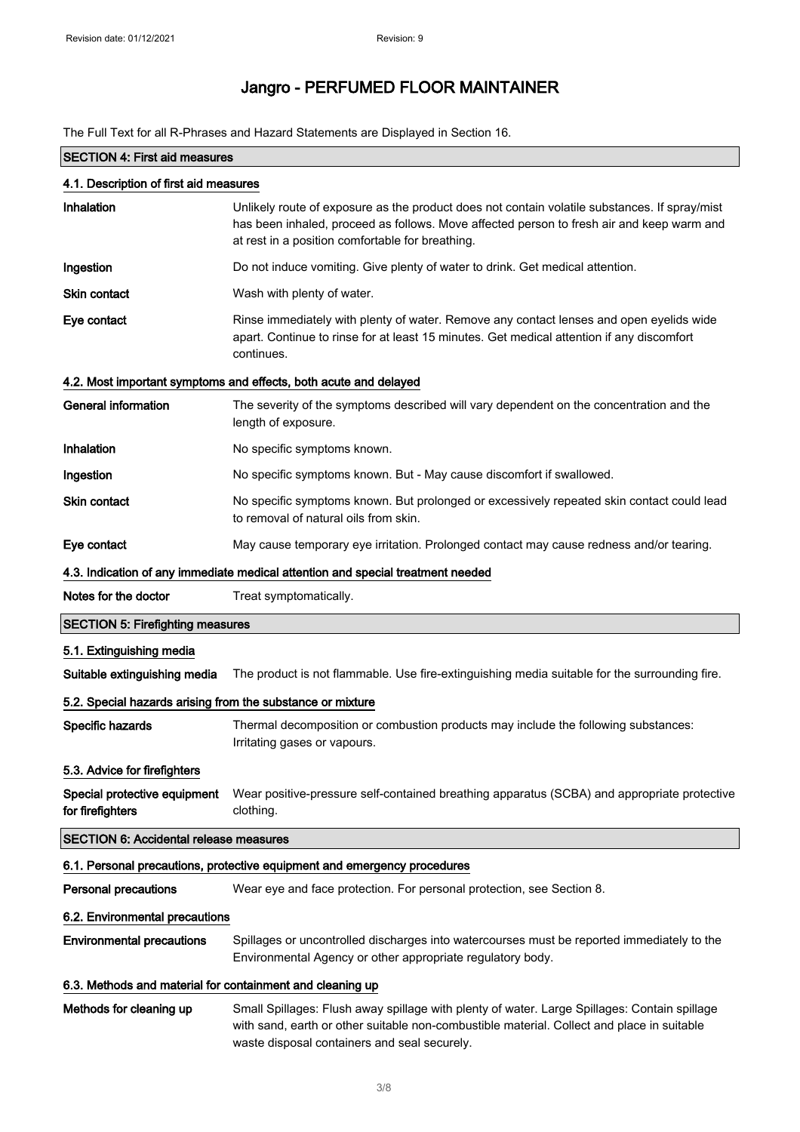The Full Text for all R-Phrases and Hazard Statements are Displayed in Section 16.

| <b>SECTION 4: First aid measures</b>                       |                                                                                                                                                                                                                                                |  |
|------------------------------------------------------------|------------------------------------------------------------------------------------------------------------------------------------------------------------------------------------------------------------------------------------------------|--|
| 4.1. Description of first aid measures                     |                                                                                                                                                                                                                                                |  |
| Inhalation                                                 | Unlikely route of exposure as the product does not contain volatile substances. If spray/mist<br>has been inhaled, proceed as follows. Move affected person to fresh air and keep warm and<br>at rest in a position comfortable for breathing. |  |
| Ingestion                                                  | Do not induce vomiting. Give plenty of water to drink. Get medical attention.                                                                                                                                                                  |  |
| <b>Skin contact</b>                                        | Wash with plenty of water.                                                                                                                                                                                                                     |  |
| Eye contact                                                | Rinse immediately with plenty of water. Remove any contact lenses and open eyelids wide<br>apart. Continue to rinse for at least 15 minutes. Get medical attention if any discomfort<br>continues.                                             |  |
|                                                            | 4.2. Most important symptoms and effects, both acute and delayed                                                                                                                                                                               |  |
| <b>General information</b>                                 | The severity of the symptoms described will vary dependent on the concentration and the<br>length of exposure.                                                                                                                                 |  |
| Inhalation                                                 | No specific symptoms known.                                                                                                                                                                                                                    |  |
| Ingestion                                                  | No specific symptoms known. But - May cause discomfort if swallowed.                                                                                                                                                                           |  |
| <b>Skin contact</b>                                        | No specific symptoms known. But prolonged or excessively repeated skin contact could lead<br>to removal of natural oils from skin.                                                                                                             |  |
| Eye contact                                                | May cause temporary eye irritation. Prolonged contact may cause redness and/or tearing.                                                                                                                                                        |  |
|                                                            | 4.3. Indication of any immediate medical attention and special treatment needed                                                                                                                                                                |  |
| Notes for the doctor                                       | Treat symptomatically.                                                                                                                                                                                                                         |  |
| <b>SECTION 5: Firefighting measures</b>                    |                                                                                                                                                                                                                                                |  |
| 5.1. Extinguishing media                                   |                                                                                                                                                                                                                                                |  |
| Suitable extinguishing media                               | The product is not flammable. Use fire-extinguishing media suitable for the surrounding fire.                                                                                                                                                  |  |
| 5.2. Special hazards arising from the substance or mixture |                                                                                                                                                                                                                                                |  |
| Specific hazards                                           | Thermal decomposition or combustion products may include the following substances:<br>Irritating gases or vapours.                                                                                                                             |  |
| 5.3. Advice for firefighters                               |                                                                                                                                                                                                                                                |  |
| Special protective equipment<br>for firefighters           | Wear positive-pressure self-contained breathing apparatus (SCBA) and appropriate protective<br>clothing.                                                                                                                                       |  |
| <b>SECTION 6: Accidental release measures</b>              |                                                                                                                                                                                                                                                |  |
|                                                            | 6.1. Personal precautions, protective equipment and emergency procedures                                                                                                                                                                       |  |
| <b>Personal precautions</b>                                | Wear eye and face protection. For personal protection, see Section 8.                                                                                                                                                                          |  |
| 6.2. Environmental precautions                             |                                                                                                                                                                                                                                                |  |
| <b>Environmental precautions</b>                           | Spillages or uncontrolled discharges into watercourses must be reported immediately to the<br>Environmental Agency or other appropriate regulatory body.                                                                                       |  |
| 6.3. Methods and material for containment and cleaning up  |                                                                                                                                                                                                                                                |  |
| Methods for cleaning up                                    | Small Spillages: Flush away spillage with plenty of water. Large Spillages: Contain spillage<br>with sand, earth or other suitable non-combustible material. Collect and place in suitable<br>waste disposal containers and seal securely.     |  |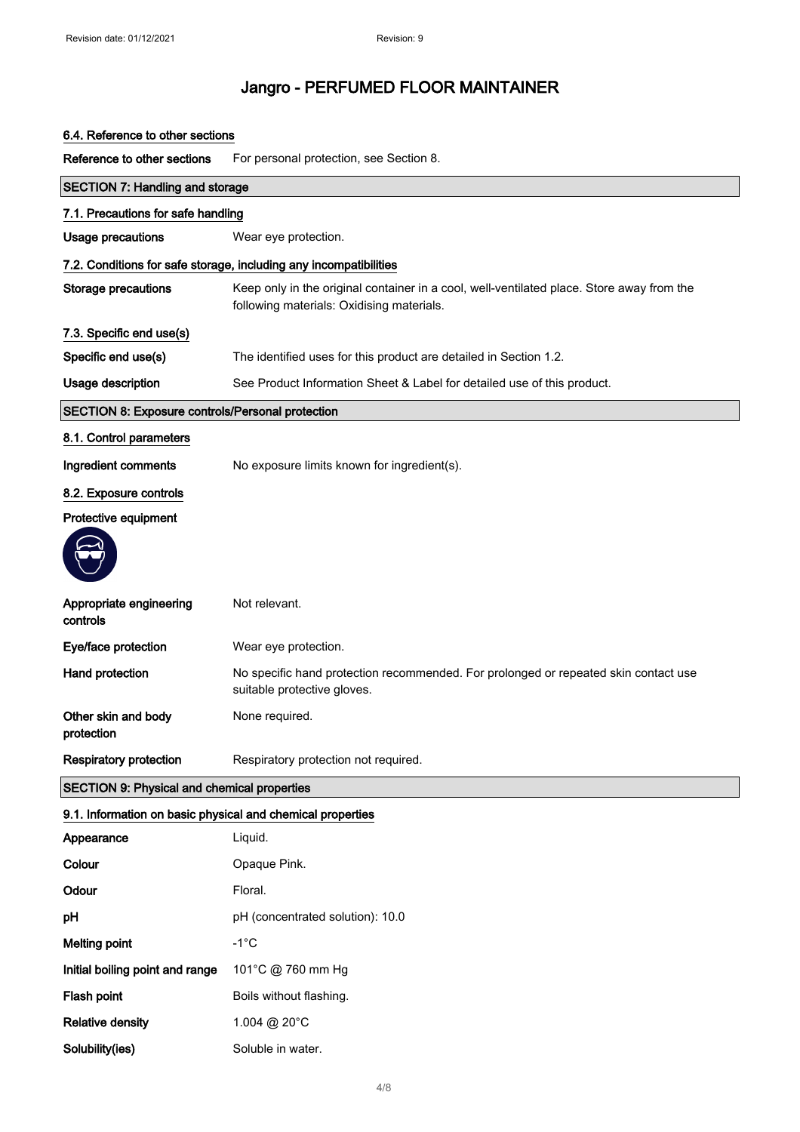#### 6.4. Reference to other sections

Reference to other sections For personal protection, see Section 8.

| <b>SECTION 7: Handling and storage</b>                     |                                                                                                                                        |  |
|------------------------------------------------------------|----------------------------------------------------------------------------------------------------------------------------------------|--|
| 7.1. Precautions for safe handling                         |                                                                                                                                        |  |
| Usage precautions                                          | Wear eye protection.                                                                                                                   |  |
|                                                            | 7.2. Conditions for safe storage, including any incompatibilities                                                                      |  |
| <b>Storage precautions</b>                                 | Keep only in the original container in a cool, well-ventilated place. Store away from the<br>following materials: Oxidising materials. |  |
| 7.3. Specific end use(s)                                   |                                                                                                                                        |  |
| Specific end use(s)                                        | The identified uses for this product are detailed in Section 1.2.                                                                      |  |
| Usage description                                          | See Product Information Sheet & Label for detailed use of this product.                                                                |  |
| SECTION 8: Exposure controls/Personal protection           |                                                                                                                                        |  |
| 8.1. Control parameters                                    |                                                                                                                                        |  |
| Ingredient comments                                        | No exposure limits known for ingredient(s).                                                                                            |  |
| 8.2. Exposure controls                                     |                                                                                                                                        |  |
| Protective equipment                                       |                                                                                                                                        |  |
|                                                            |                                                                                                                                        |  |
| Appropriate engineering<br>controls                        | Not relevant.                                                                                                                          |  |
| Eye/face protection                                        | Wear eye protection.                                                                                                                   |  |
| Hand protection                                            | No specific hand protection recommended. For prolonged or repeated skin contact use<br>suitable protective gloves.                     |  |
| Other skin and body<br>protection                          | None required.                                                                                                                         |  |
| <b>Respiratory protection</b>                              | Respiratory protection not required.                                                                                                   |  |
| <b>SECTION 9: Physical and chemical properties</b>         |                                                                                                                                        |  |
| 9.1. Information on basic physical and chemical properties |                                                                                                                                        |  |
| Appearance                                                 | Liquid.                                                                                                                                |  |
| Colour                                                     | Opaque Pink.                                                                                                                           |  |
| Odour                                                      | Floral.                                                                                                                                |  |
| pH                                                         | pH (concentrated solution): 10.0                                                                                                       |  |
| <b>Melting point</b>                                       | $-1^{\circ}C$                                                                                                                          |  |
| Initial boiling point and range                            | 101°C @ 760 mm Hg                                                                                                                      |  |
| Flash point                                                | Boils without flashing.                                                                                                                |  |
| <b>Relative density</b>                                    | 1.004 @ 20°C                                                                                                                           |  |
| Solubility(ies)                                            | Soluble in water.                                                                                                                      |  |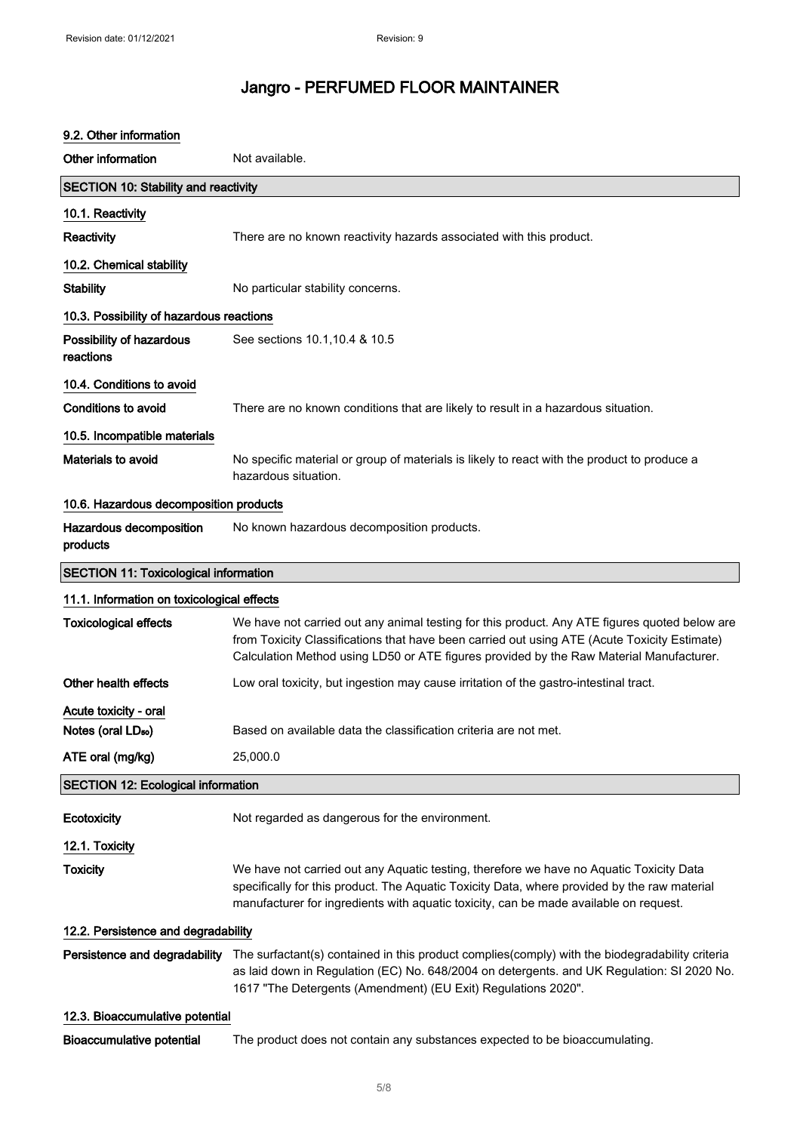| 9.2. Other information                                  |                                                                                                                                                                                                                                                                                          |  |
|---------------------------------------------------------|------------------------------------------------------------------------------------------------------------------------------------------------------------------------------------------------------------------------------------------------------------------------------------------|--|
| Other information                                       | Not available.                                                                                                                                                                                                                                                                           |  |
| <b>SECTION 10: Stability and reactivity</b>             |                                                                                                                                                                                                                                                                                          |  |
| 10.1. Reactivity                                        |                                                                                                                                                                                                                                                                                          |  |
| Reactivity                                              | There are no known reactivity hazards associated with this product.                                                                                                                                                                                                                      |  |
| 10.2. Chemical stability                                |                                                                                                                                                                                                                                                                                          |  |
| <b>Stability</b>                                        | No particular stability concerns.                                                                                                                                                                                                                                                        |  |
| 10.3. Possibility of hazardous reactions                |                                                                                                                                                                                                                                                                                          |  |
| Possibility of hazardous<br>reactions                   | See sections 10.1, 10.4 & 10.5                                                                                                                                                                                                                                                           |  |
| 10.4. Conditions to avoid                               |                                                                                                                                                                                                                                                                                          |  |
| <b>Conditions to avoid</b>                              | There are no known conditions that are likely to result in a hazardous situation.                                                                                                                                                                                                        |  |
| 10.5. Incompatible materials                            |                                                                                                                                                                                                                                                                                          |  |
| Materials to avoid                                      | No specific material or group of materials is likely to react with the product to produce a<br>hazardous situation.                                                                                                                                                                      |  |
| 10.6. Hazardous decomposition products                  |                                                                                                                                                                                                                                                                                          |  |
| Hazardous decomposition<br>products                     | No known hazardous decomposition products.                                                                                                                                                                                                                                               |  |
| <b>SECTION 11: Toxicological information</b>            |                                                                                                                                                                                                                                                                                          |  |
| 11.1. Information on toxicological effects              |                                                                                                                                                                                                                                                                                          |  |
| <b>Toxicological effects</b>                            | We have not carried out any animal testing for this product. Any ATE figures quoted below are<br>from Toxicity Classifications that have been carried out using ATE (Acute Toxicity Estimate)<br>Calculation Method using LD50 or ATE figures provided by the Raw Material Manufacturer. |  |
| Other health effects                                    | Low oral toxicity, but ingestion may cause irritation of the gastro-intestinal tract.                                                                                                                                                                                                    |  |
| Acute toxicity - oral<br>Notes (oral LD <sub>50</sub> ) | Based on available data the classification criteria are not met.                                                                                                                                                                                                                         |  |
| ATE oral (mg/kg)                                        | 25,000.0                                                                                                                                                                                                                                                                                 |  |
| <b>SECTION 12: Ecological information</b>               |                                                                                                                                                                                                                                                                                          |  |
| Ecotoxicity                                             | Not regarded as dangerous for the environment.                                                                                                                                                                                                                                           |  |
| 12.1. Toxicity                                          |                                                                                                                                                                                                                                                                                          |  |
| <b>Toxicity</b>                                         | We have not carried out any Aquatic testing, therefore we have no Aquatic Toxicity Data<br>specifically for this product. The Aquatic Toxicity Data, where provided by the raw material<br>manufacturer for ingredients with aquatic toxicity, can be made available on request.         |  |
| 12.2. Persistence and degradability                     |                                                                                                                                                                                                                                                                                          |  |
| Persistence and degradability                           | The surfactant(s) contained in this product complies(comply) with the biodegradability criteria<br>as laid down in Regulation (EC) No. 648/2004 on detergents. and UK Regulation: SI 2020 No.<br>1617 "The Detergents (Amendment) (EU Exit) Regulations 2020".                           |  |
| 12.3. Bioaccumulative potential                         |                                                                                                                                                                                                                                                                                          |  |
| Bioaccumulative potential                               | The product does not contain any substances expected to be bioaccumulating.                                                                                                                                                                                                              |  |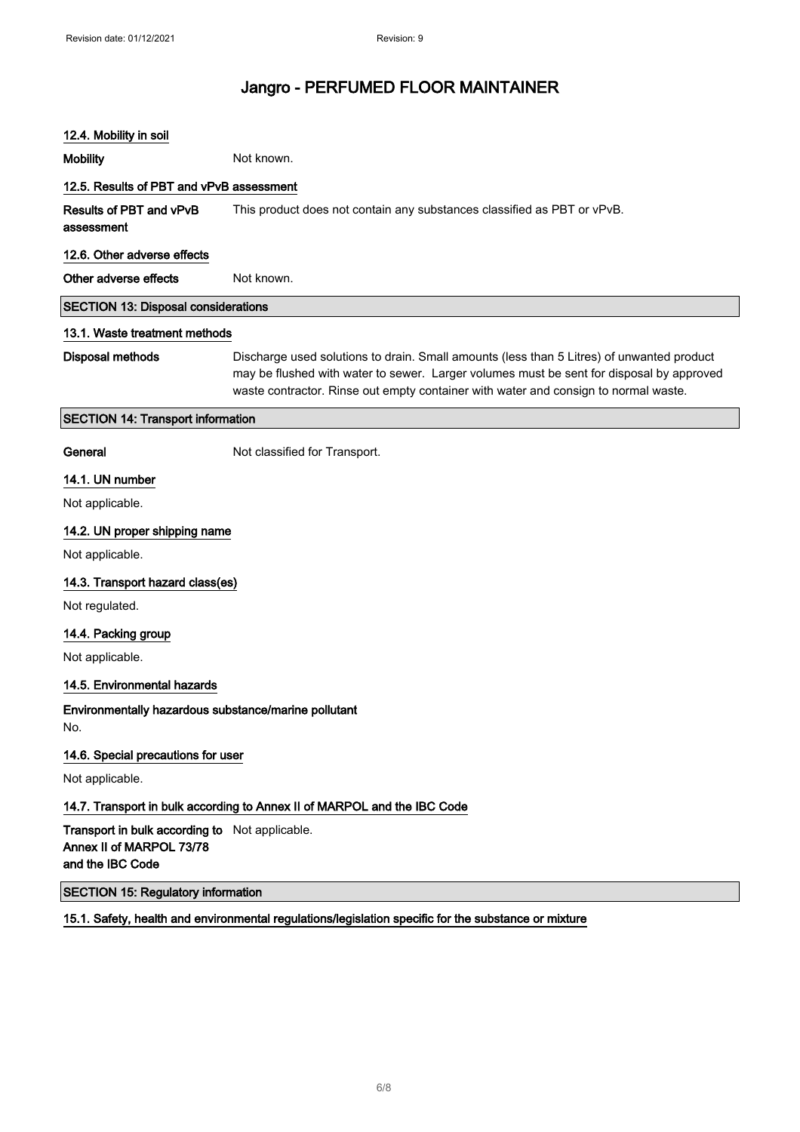## 12.4. Mobility in soil Mobility **Mobility** Not known. 12.5. Results of PBT and vPvB assessment Results of PBT and vPvB assessment This product does not contain any substances classified as PBT or vPvB. 12.6. Other adverse effects Other adverse effects Not known. SECTION 13: Disposal considerations 13.1. Waste treatment methods Disposal methods Discharge used solutions to drain. Small amounts (less than 5 Litres) of unwanted product may be flushed with water to sewer. Larger volumes must be sent for disposal by approved waste contractor. Rinse out empty container with water and consign to normal waste. SECTION 14: Transport information General **General** Not classified for Transport. 14.1. UN number Not applicable. 14.2. UN proper shipping name Not applicable. 14.3. Transport hazard class(es) Not regulated. 14.4. Packing group Not applicable. 14.5. Environmental hazards Environmentally hazardous substance/marine pollutant No. 14.6. Special precautions for user Not applicable. 14.7. Transport in bulk according to Annex II of MARPOL and the IBC Code Transport in bulk according to Not applicable. Annex II of MARPOL 73/78 and the IBC Code SECTION 15: Regulatory information 15.1. Safety, health and environmental regulations/legislation specific for the substance or mixture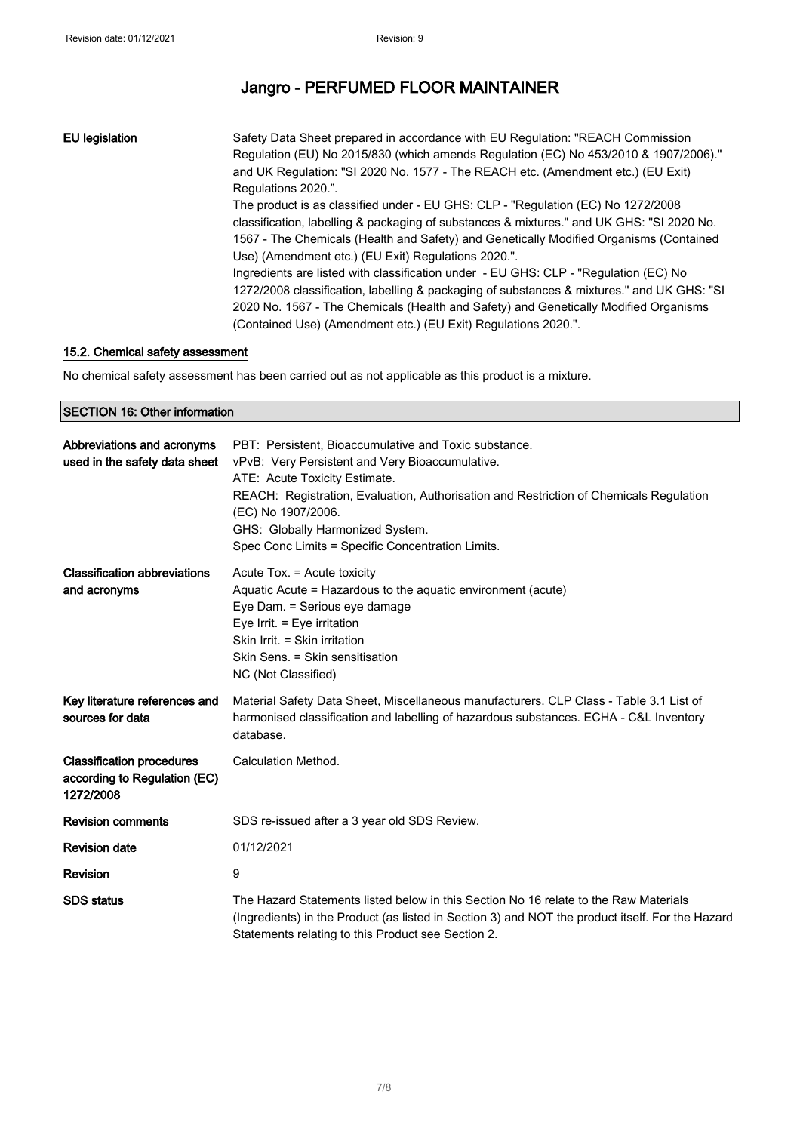EU legislation Safety Data Sheet prepared in accordance with EU Regulation: "REACH Commission Regulation (EU) No 2015/830 (which amends Regulation (EC) No 453/2010 & 1907/2006)." and UK Regulation: "SI 2020 No. 1577 - The REACH etc. (Amendment etc.) (EU Exit) Regulations 2020.". The product is as classified under - EU GHS: CLP - "Regulation (EC) No 1272/2008 classification, labelling & packaging of substances & mixtures." and UK GHS: "SI 2020 No. 1567 - The Chemicals (Health and Safety) and Genetically Modified Organisms (Contained Use) (Amendment etc.) (EU Exit) Regulations 2020.". Ingredients are listed with classification under - EU GHS: CLP - "Regulation (EC) No 1272/2008 classification, labelling & packaging of substances & mixtures." and UK GHS: "SI 2020 No. 1567 - The Chemicals (Health and Safety) and Genetically Modified Organisms (Contained Use) (Amendment etc.) (EU Exit) Regulations 2020.".

#### 15.2. Chemical safety assessment

No chemical safety assessment has been carried out as not applicable as this product is a mixture.

#### SECTION 16: Other information

| Abbreviations and acronyms<br>used in the safety data sheet                   | PBT: Persistent, Bioaccumulative and Toxic substance.<br>vPvB: Very Persistent and Very Bioaccumulative.<br>ATE: Acute Toxicity Estimate.<br>REACH: Registration, Evaluation, Authorisation and Restriction of Chemicals Regulation<br>(EC) No 1907/2006.<br>GHS: Globally Harmonized System.<br>Spec Conc Limits = Specific Concentration Limits. |
|-------------------------------------------------------------------------------|----------------------------------------------------------------------------------------------------------------------------------------------------------------------------------------------------------------------------------------------------------------------------------------------------------------------------------------------------|
| <b>Classification abbreviations</b><br>and acronyms                           | Acute Tox. = Acute toxicity<br>Aquatic Acute = Hazardous to the aquatic environment (acute)<br>Eye Dam. = Serious eye damage<br>Eye Irrit. = Eye irritation<br>Skin Irrit. = Skin irritation<br>Skin Sens. = Skin sensitisation<br>NC (Not Classified)                                                                                             |
| Key literature references and<br>sources for data                             | Material Safety Data Sheet, Miscellaneous manufacturers. CLP Class - Table 3.1 List of<br>harmonised classification and labelling of hazardous substances. ECHA - C&L Inventory<br>database.                                                                                                                                                       |
| <b>Classification procedures</b><br>according to Regulation (EC)<br>1272/2008 | Calculation Method.                                                                                                                                                                                                                                                                                                                                |
| <b>Revision comments</b>                                                      | SDS re-issued after a 3 year old SDS Review.                                                                                                                                                                                                                                                                                                       |
| <b>Revision date</b>                                                          | 01/12/2021                                                                                                                                                                                                                                                                                                                                         |
| <b>Revision</b>                                                               | 9                                                                                                                                                                                                                                                                                                                                                  |
| <b>SDS</b> status                                                             | The Hazard Statements listed below in this Section No 16 relate to the Raw Materials<br>(Ingredients) in the Product (as listed in Section 3) and NOT the product itself. For the Hazard<br>Statements relating to this Product see Section 2.                                                                                                     |